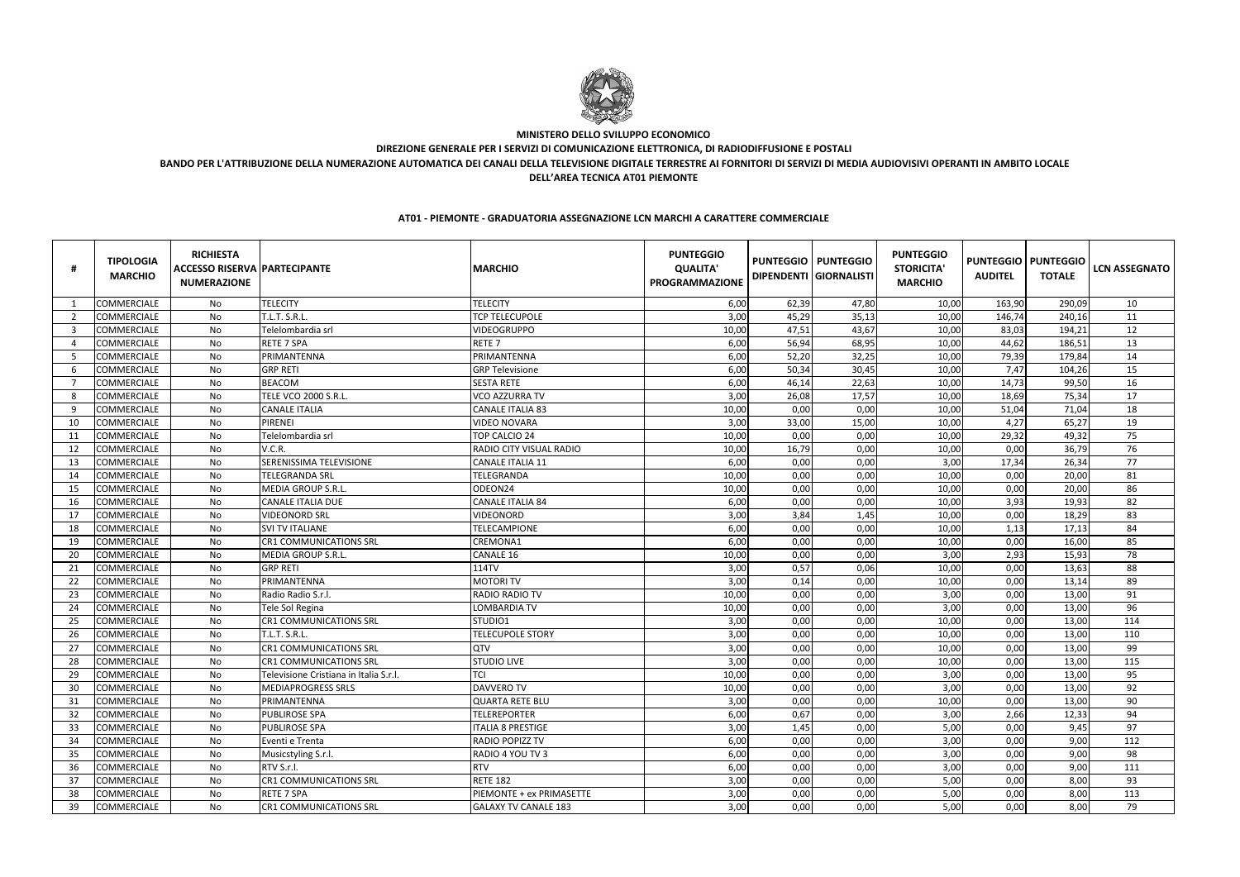|     | <b>TIPOLOGIA</b><br><b>MARCHIO</b> | <b>RICHIESTA</b><br><b>ACCESSO RISERVA PARTECIPANTE</b><br><b>NUMERAZIONE</b> |                                        | <b>MARCHIO</b>              | <b>PUNTEGGIO</b><br><b>QUALITA'</b><br><b>PROGRAMMAZIONE</b> |       | <b>PUNTEGGIO   PUNTEGGIO</b><br>DIPENDENTI GIORNALISTI | <b>PUNTEGGIO</b><br><b>STORICITA'</b><br><b>MARCHIO</b> | <b>AUDITEL</b> | <b>PUNTEGGIO   PUNTEGGIO</b><br><b>TOTALE</b> | <b>LCN ASSEGNATO</b> |
|-----|------------------------------------|-------------------------------------------------------------------------------|----------------------------------------|-----------------------------|--------------------------------------------------------------|-------|--------------------------------------------------------|---------------------------------------------------------|----------------|-----------------------------------------------|----------------------|
|     | COMMERCIALE                        | No                                                                            | <b>TELECITY</b>                        | <b>TELECITY</b>             | 6,00                                                         | 62,39 | 47,80                                                  | 10,00                                                   | 163,90         | 290,09                                        | 10                   |
| -2  | <b>COMMERCIALE</b>                 | No                                                                            | T.L.T. S.R.L                           | <b>TCP TELECUPOLE</b>       | 3,00                                                         | 45,29 | 35,13                                                  | 10,00                                                   | 146,74         | 240,16                                        | 11                   |
| - 3 | COMMERCIALE                        | No                                                                            | Telelombardia srl                      | VIDEOGRUPPO                 | 10,00                                                        | 47,51 | 43,67                                                  | 10,00                                                   | 83,03          | 194,21                                        | 12                   |
| - 4 | COMMERCIALE                        | No                                                                            | <b>RETE 7 SPA</b>                      | RETE <sub>7</sub>           | 6,00                                                         | 56,94 | 68,95                                                  | 10,00                                                   | 44,62          | 186,51                                        | 13                   |
| -5  | COMMERCIALE                        | No                                                                            | PRIMANTENNA                            | PRIMANTENNA                 | 6,00                                                         | 52,20 | 32,25                                                  | 10,00                                                   | 79,39          | 179,84                                        | 14                   |
| -6  | COMMERCIALE                        | No                                                                            | <b>GRP RETI</b>                        | <b>GRP Televisione</b>      | 6,00                                                         | 50,34 | 30,45                                                  | 10,00                                                   | 7,47           | 104,26                                        | 15                   |
| - 7 | COMMERCIALE                        | No                                                                            | <b>BEACOM</b>                          | <b>SESTA RETE</b>           | 6,00                                                         | 46,14 | 22,63                                                  | 10,00                                                   | 14,73          | 99,50                                         | 16                   |
| - 8 | COMMERCIALE                        | No                                                                            | TELE VCO 2000 S.R.L.                   | VCO AZZURRA TV              | 3,00                                                         | 26,08 | 17,57                                                  | 10,00                                                   | 18,69          | 75,34                                         | 17                   |
| -9  | COMMERCIALE                        | No                                                                            | <b>CANALE ITALIA</b>                   | <b>CANALE ITALIA 83</b>     | 10,00                                                        | 0,00  | 0,00                                                   | 10,00                                                   | 51,04          | 71,04                                         | 18                   |
| 10  | COMMERCIALE                        | No                                                                            | PIRENEI                                | <b>VIDEO NOVARA</b>         | 3,00                                                         | 33,00 | 15,00                                                  | 10,00                                                   | 4,27           | 65,27                                         | 19                   |
| 11  | COMMERCIALE                        | No                                                                            | Telelombardia srl                      | TOP CALCIO 24               | 10,00                                                        | 0,00  | 0,00                                                   | 10,00                                                   | 29,32          | 49,32                                         | 75                   |
| 12  | COMMERCIALE                        | No                                                                            | V.C.R.                                 | RADIO CITY VISUAL RADIO     | 10,00                                                        | 16,79 | 0,00                                                   | 10,00                                                   | 0,00           | 36,79                                         | 76                   |
| 13  | COMMERCIALE                        | No                                                                            | SERENISSIMA TELEVISIONE                | <b>CANALE ITALIA 11</b>     | 6,00                                                         | 0,00  | 0,00                                                   | 3,00                                                    | 17,34          | 26,34                                         | 77                   |
| 14  | COMMERCIALE                        | No                                                                            | <b>TELEGRANDA SRL</b>                  | TELEGRANDA                  | 10,00                                                        | 0,00  | 0,00                                                   | 10,00                                                   | 0,00           | 20,00                                         | 81                   |
| 15  | <b>COMMERCIALE</b>                 | No                                                                            | MEDIA GROUP S.R.L.                     | ODEON24                     | 10,00                                                        | 0,00  | 0,00                                                   | 10,00                                                   | 0,00           | 20,00                                         | 86                   |
| 16  | COMMERCIALE                        | No                                                                            | <b>CANALE ITALIA DUE</b>               | <b>CANALE ITALIA 84</b>     | 6,00                                                         | 0,00  | 0,00                                                   | 10,00                                                   | 3,93           | 19,93                                         | 82                   |
| 17  | <b>COMMERCIALE</b>                 | No                                                                            | <b>VIDEONORD SRL</b>                   | VIDEONORD                   | 3,00                                                         | 3,84  | 1,45                                                   | 10,00                                                   | 0,00           | 18,29                                         | 83                   |
| 18  | COMMERCIALE                        | No                                                                            | <b>SVI TV ITALIANE</b>                 | TELECAMPIONE                | 6,00                                                         | 0,00  | 0,00                                                   | 10,00                                                   | 1,13           | 17,13                                         | 84                   |
| 19  | COMMERCIALE                        | No                                                                            | CR1 COMMUNICATIONS SRL                 | CREMONA1                    | 6,00                                                         | 0,00  | 0,00                                                   | 10,00                                                   | 0,00           | 16,00                                         | 85                   |
| 20  | COMMERCIALE                        | No                                                                            | MEDIA GROUP S.R.L.                     | CANALE 16                   | 10,00                                                        | 0,00  | 0,00                                                   | 3,00                                                    | 2,93           | 15,93                                         | 78                   |
| 21  | COMMERCIALE                        | No                                                                            | <b>GRP RETI</b>                        | 114TV                       | 3,00                                                         | 0,57  | 0,06                                                   | 10,00                                                   | 0,00           | 13,63                                         | 88                   |
| 22  | COMMERCIALE                        | No                                                                            | PRIMANTENNA                            | <b>MOTORI TV</b>            | 3,00                                                         | 0,14  | 0,00                                                   | 10,00                                                   | 0,00           | 13,14                                         | 89                   |
| 23  | COMMERCIALE                        | No                                                                            | Radio Radio S.r.l.                     | RADIO RADIO TV              | 10,00                                                        | 0,00  | 0,00                                                   | 3,00                                                    | 0,00           | 13,00                                         | 91                   |
| 24  | COMMERCIALE                        | No                                                                            | Tele Sol Regina                        | <b>LOMBARDIA TV</b>         | 10,00                                                        | 0,00  | 0,00                                                   | 3,00                                                    | 0,00           | 13,00                                         | 96                   |
| 25  | COMMERCIALE                        | No                                                                            | <b>CR1 COMMUNICATIONS SRL</b>          | STUDIO1                     | 3,00                                                         | 0,00  | 0,00                                                   | 10,00                                                   | 0,00           | 13,00                                         | 114                  |
| 26  | COMMERCIALE                        | No                                                                            | <b>T.L.T. S.R.L</b>                    | <b>TELECUPOLE STORY</b>     | 3,00                                                         | 0,00  | 0,00                                                   | 10,00                                                   | 0,00           | 13,00                                         | 110                  |
| 27  | COMMERCIALE                        | No                                                                            | CR1 COMMUNICATIONS SRL                 | QTV                         | 3,00                                                         | 0,00  | 0,00                                                   | 10,00                                                   | 0,00           | 13,00                                         | 99                   |
| 28  | COMMERCIALE                        | No                                                                            | <b>CR1 COMMUNICATIONS SRL</b>          | <b>STUDIO LIVE</b>          | 3,00                                                         | 0,00  | 0,00                                                   | 10,00                                                   | 0,00           | 13,00                                         | 115                  |
| 29  | <b>COMMERCIALE</b>                 | No                                                                            | Televisione Cristiana in Italia S.r.l. | TCI                         | 10,00                                                        | 0,00  | 0,00                                                   | 3,00                                                    | 0,00           | 13,00                                         | 95                   |
| 30  | COMMERCIALE                        | No                                                                            | <b>MEDIAPROGRESS SRLS</b>              | <b>DAVVERO TV</b>           | 10,00                                                        | 0,00  | 0,00                                                   | 3,00                                                    | 0,00           | 13,00                                         | 92                   |
| 31  | COMMERCIALE                        | No                                                                            | PRIMANTENNA                            | <b>QUARTA RETE BLU</b>      | 3,00                                                         | 0,00  | 0,00                                                   | 10.00<br><b>10,00</b>                                   | 0,00           | 13,00                                         | $90\,$               |
| 32  | COMMERCIALE                        | No                                                                            | <b>PUBLIROSE SPA</b>                   | <b>TELEREPORTER</b>         | 6,00                                                         | 0,67  | 0,00                                                   | 3,00                                                    | 2,66           | 12,33                                         | 94                   |
| -33 | <b>COMMERCIALE</b>                 | No                                                                            | <b>PUBLIROSE SPA</b>                   | <b>ITALIA 8 PRESTIGE</b>    | 3,00                                                         | 1,45  | 0,00                                                   | 5,00                                                    | 0,00           | 9,45                                          | 97                   |
| 34  | <b>COMMERCIALE</b>                 | No                                                                            | Eventi e Trenta                        | RADIO POPIZZ TV             | 6,00                                                         | 0,00  | 0,00                                                   | 3,00                                                    | 0,00           | 9,00                                          | 112                  |
| 35  | COMMERCIALE                        | No                                                                            | Musicstyling S.r.l.                    | RADIO 4 YOU TV 3            | 6,00                                                         | 0,00  | 0,00                                                   | 3,00                                                    | 0,00           | 9,00                                          | 98                   |
| 36  | COMMERCIALE                        | No                                                                            | RTV S.r.l.                             | <b>RTV</b>                  | 6,00                                                         | 0,00  | 0,00                                                   | 3,00                                                    | 0,00           | 9,00                                          | 111                  |
| 37  | COMMERCIALE                        | No                                                                            | <b>CR1 COMMUNICATIONS SRL</b>          | <b>RETE 182</b>             | 3,00                                                         | 0,00  | 0,00                                                   | 5,00                                                    | 0,00           | 8,00                                          | 93                   |
| 38  | COMMERCIALE                        | No                                                                            | RETE 7 SPA                             | PIEMONTE + ex PRIMASETTE    | 3,00                                                         | 0,00  | 0,00                                                   | 5,00                                                    | 0,00           | 8,00                                          | 113                  |
| 39  | <b>COMMERCIALE</b>                 | No                                                                            | <b>CR1 COMMUNICATIONS SRL</b>          | <b>GALAXY TV CANALE 183</b> | 3,00                                                         | 0,00  | 0,00                                                   | 5,00                                                    | 0,00           | 8,00                                          | 79                   |



## **MINISTERO DELLO SVILUPPO ECONOMICO DIREZIONE GENERALE PER I SERVIZI DI COMUNICAZIONE ELETTRONICA, DI RADIODIFFUSIONE E POSTALI BANDO PER L'ATTRIBUZIONE DELLA NUMERAZIONE AUTOMATICA DEI CANALI DELLA TELEVISIONE DIGITALE TERRESTRE AI FORNITORI DI SERVIZI DI MEDIA AUDIOVISIVI OPERANTI IN AMBITO LOCALEDELL'AREA TECNICA AT01 PIEMONTE**

## **AT01 - PIEMONTE - GRADUATORIA ASSEGNAZIONE LCN MARCHI A CARATTERE COMMERCIALE**